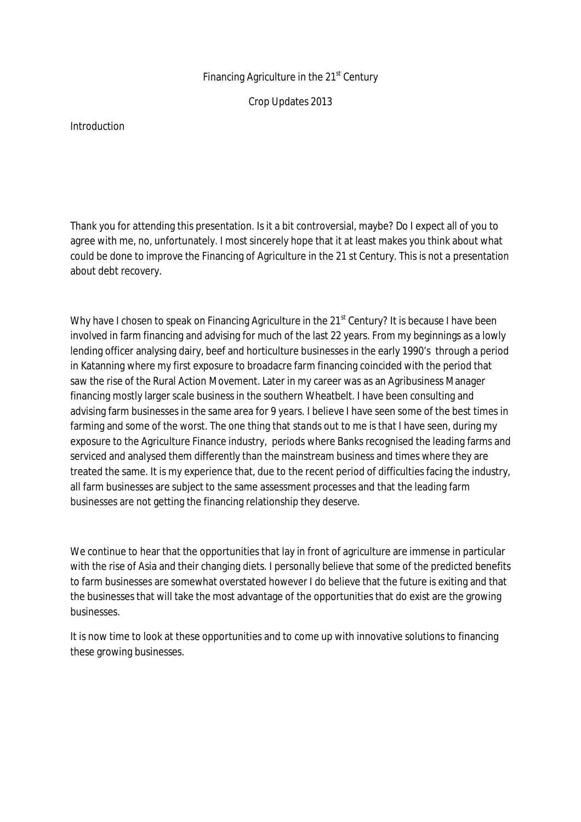## Financing Agriculture in the 21<sup>st</sup> Century

Crop Updates 2013

#### Introduction

Thank you for attending this presentation. Is it a bit controversial, maybe? Do I expect all of you to agree with me, no, unfortunately. I most sincerely hope that it at least makes you think about what could be done to improve the Financing of Agriculture in the 21 st Century. This is not a presentation about debt recovery.

Why have I chosen to speak on Financing Agriculture in the  $21<sup>st</sup>$  Century? It is because I have been involved in farm financing and advising for much of the last 22 years. From my beginnings as a lowly lending officer analysing dairy, beef and horticulture businesses in the early 1990's through a period in Katanning where my first exposure to broadacre farm financing coincided with the period that saw the rise of the Rural Action Movement. Later in my career was as an Agribusiness Manager financing mostly larger scale business in the southern Wheatbelt. I have been consulting and advising farm businesses in the same area for 9 years. I believe I have seen some of the best times in farming and some of the worst. The one thing that stands out to me is that I have seen, during my exposure to the Agriculture Finance industry, periods where Banks recognised the leading farms and serviced and analysed them differently than the mainstream business and times where they are treated the same. It is my experience that, due to the recent period of difficulties facing the industry, all farm businesses are subject to the same assessment processes and that the leading farm businesses are not getting the financing relationship they deserve.

We continue to hear that the opportunities that lay in front of agriculture are immense in particular with the rise of Asia and their changing diets. I personally believe that some of the predicted benefits to farm businesses are somewhat overstated however I do believe that the future is exiting and that the businesses that will take the most advantage of the opportunities that do exist are the growing businesses.

It is now time to look at these opportunities and to come up with innovative solutions to financing these growing businesses.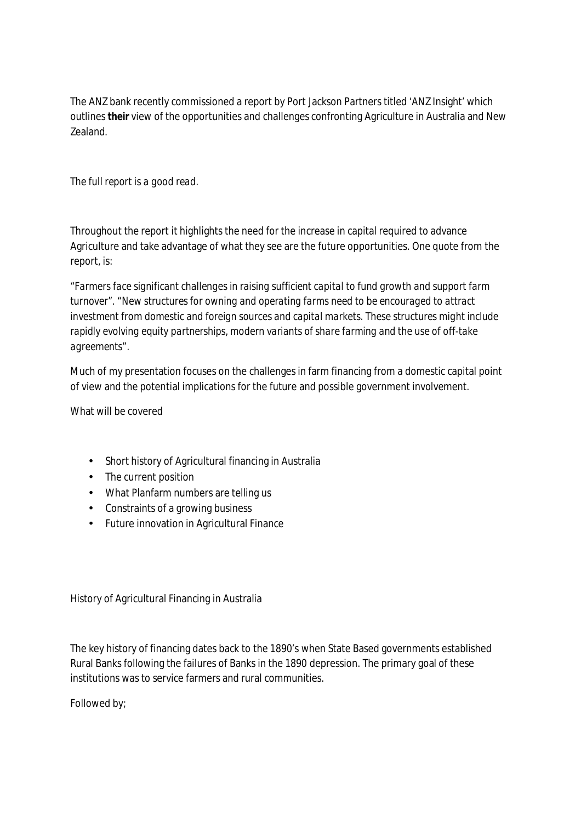The ANZ bank recently commissioned a report by Port Jackson Partners titled 'ANZ Insight' which outlines *their* view of the opportunities and challenges confronting Agriculture in Australia and New Zealand.

# *The full report is a good read.*

Throughout the report it highlights the need for the increase in capital required to advance Agriculture and take advantage of what they see are the future opportunities. One quote from the report, is:

"*Farmers face significant challenges in raising sufficient capital to fund growth and support farm turnover". "New structures for owning and operating farms need to be encouraged to attract investment from domestic and foreign sources and capital markets. These structures might include rapidly evolving equity partnerships, modern variants of share farming and the use of off-take agreements".* 

Much of my presentation focuses on the challenges in farm financing from a domestic capital point of view and the potential implications for the future and possible government involvement.

What will be covered

- Short history of Agricultural financing in Australia
- The current position
- What Planfarm numbers are telling us
- Constraints of a growing business
- Future innovation in Agricultural Finance

History of Agricultural Financing in Australia

The key history of financing dates back to the 1890's when State Based governments established Rural Banks following the failures of Banks in the 1890 depression. The primary goal of these institutions was to service farmers and rural communities.

Followed by;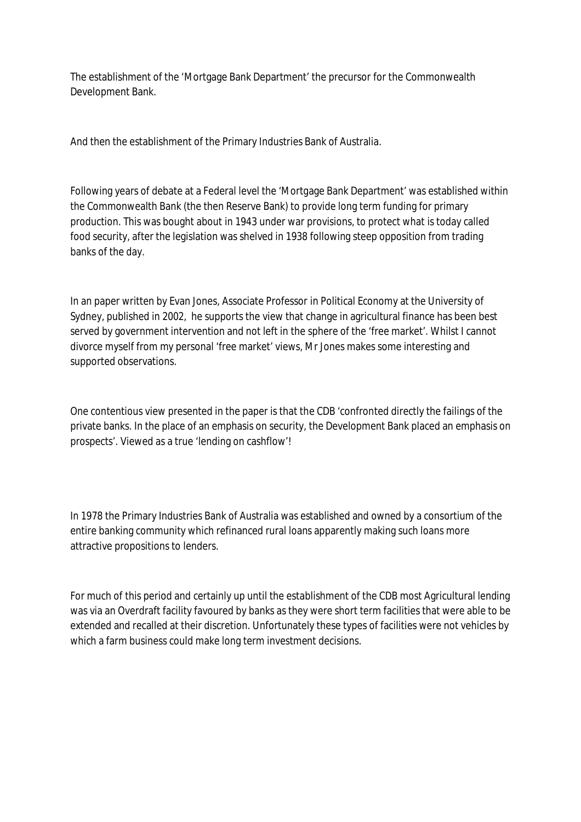The establishment of the 'Mortgage Bank Department' the precursor for the Commonwealth Development Bank.

And then the establishment of the Primary Industries Bank of Australia.

Following years of debate at a Federal level the 'Mortgage Bank Department' was established within the Commonwealth Bank (the then Reserve Bank) to provide long term funding for primary production. This was bought about in 1943 under war provisions, to protect what is today called food security, after the legislation was shelved in 1938 following steep opposition from trading banks of the day.

In an paper written by Evan Jones, Associate Professor in Political Economy at the University of Sydney, published in 2002, he supports the view that change in agricultural finance has been best served by government intervention and not left in the sphere of the 'free market'. Whilst I cannot divorce myself from my personal 'free market' views, Mr Jones makes some interesting and supported observations.

One contentious view presented in the paper is that the CDB 'confronted directly the failings of the private banks. In the place of an emphasis on security, the Development Bank placed an emphasis on prospects'. Viewed as a true 'lending on cashflow'!

In 1978 the Primary Industries Bank of Australia was established and owned by a consortium of the entire banking community which refinanced rural loans apparently making such loans more attractive propositions to lenders.

For much of this period and certainly up until the establishment of the CDB most Agricultural lending was via an Overdraft facility favoured by banks as they were short term facilities that were able to be extended and recalled at their discretion. Unfortunately these types of facilities were not vehicles by which a farm business could make long term investment decisions.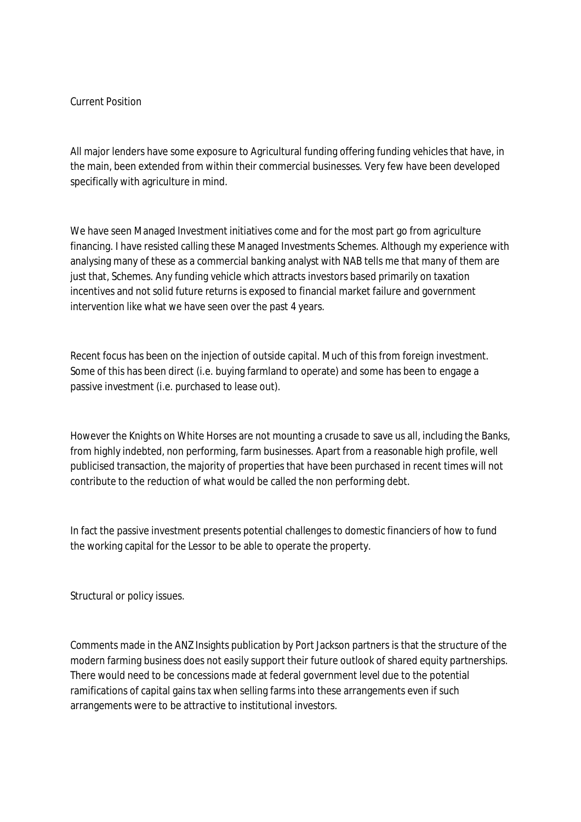### Current Position

All major lenders have some exposure to Agricultural funding offering funding vehicles that have, in the main, been extended from within their commercial businesses. Very few have been developed specifically with agriculture in mind.

We have seen Managed Investment initiatives come and for the most part go from agriculture financing. I have resisted calling these Managed Investments Schemes. Although my experience with analysing many of these as a commercial banking analyst with NAB tells me that many of them are just that, Schemes. Any funding vehicle which attracts investors based primarily on taxation incentives and not solid future returns is exposed to financial market failure and government intervention like what we have seen over the past 4 years.

Recent focus has been on the injection of outside capital. Much of this from foreign investment. Some of this has been direct (i.e. buying farmland to operate) and some has been to engage a passive investment (i.e. purchased to lease out).

However the Knights on White Horses are not mounting a crusade to save us all, including the Banks, from highly indebted, non performing, farm businesses. Apart from a reasonable high profile, well publicised transaction, the majority of properties that have been purchased in recent times will not contribute to the reduction of what would be called the non performing debt.

In fact the passive investment presents potential challenges to domestic financiers of how to fund the working capital for the Lessor to be able to operate the property.

Structural or policy issues.

Comments made in the ANZ Insights publication by Port Jackson partners is that the structure of the modern farming business does not easily support their future outlook of shared equity partnerships. There would need to be concessions made at federal government level due to the potential ramifications of capital gains tax when selling farms into these arrangements even if such arrangements were to be attractive to institutional investors.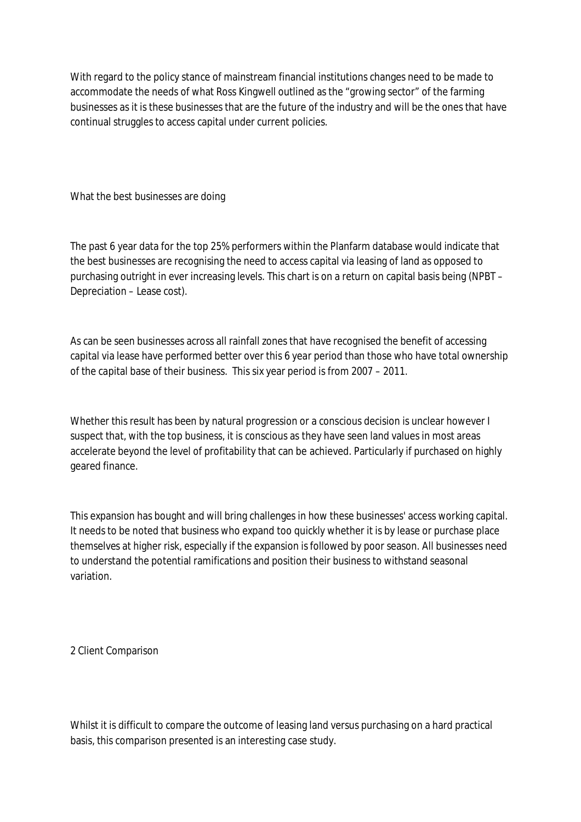With regard to the policy stance of mainstream financial institutions changes need to be made to accommodate the needs of what Ross Kingwell outlined as the "growing sector" of the farming businesses as it is these businesses that are the future of the industry and will be the ones that have continual struggles to access capital under current policies.

What the best businesses are doing

The past 6 year data for the top 25% performers within the Planfarm database would indicate that the best businesses are recognising the need to access capital via leasing of land as opposed to purchasing outright in ever increasing levels. This chart is on a return on capital basis being (NPBT – Depreciation – Lease cost).

As can be seen businesses across all rainfall zones that have recognised the benefit of accessing capital via lease have performed better over this 6 year period than those who have total ownership of the capital base of their business. This six year period is from 2007 – 2011.

Whether this result has been by natural progression or a conscious decision is unclear however I suspect that, with the top business, it is conscious as they have seen land values in most areas accelerate beyond the level of profitability that can be achieved. Particularly if purchased on highly geared finance.

This expansion has bought and will bring challenges in how these businesses' access working capital. It needs to be noted that business who expand too quickly whether it is by lease or purchase place themselves at higher risk, especially if the expansion is followed by poor season. All businesses need to understand the potential ramifications and position their business to withstand seasonal variation.

2 Client Comparison

Whilst it is difficult to compare the outcome of leasing land versus purchasing on a hard practical basis, this comparison presented is an interesting case study.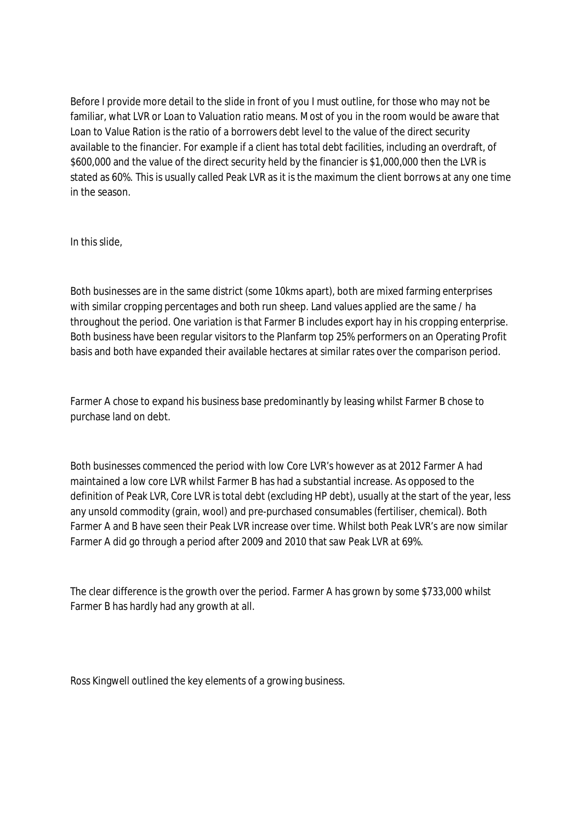Before I provide more detail to the slide in front of you I must outline, for those who may not be familiar, what LVR or Loan to Valuation ratio means. Most of you in the room would be aware that Loan to Value Ration is the ratio of a borrowers debt level to the value of the direct security available to the financier. For example if a client has total debt facilities, including an overdraft, of \$600,000 and the value of the direct security held by the financier is \$1,000,000 then the LVR is stated as 60%. This is usually called Peak LVR as it is the maximum the client borrows at any one time in the season.

In this slide,

Both businesses are in the same district (some 10kms apart), both are mixed farming enterprises with similar cropping percentages and both run sheep. Land values applied are the same / ha throughout the period. One variation is that Farmer B includes export hay in his cropping enterprise. Both business have been regular visitors to the Planfarm top 25% performers on an Operating Profit basis and both have expanded their available hectares at similar rates over the comparison period.

Farmer A chose to expand his business base predominantly by leasing whilst Farmer B chose to purchase land on debt.

Both businesses commenced the period with low Core LVR's however as at 2012 Farmer A had maintained a low core LVR whilst Farmer B has had a substantial increase. As opposed to the definition of Peak LVR, Core LVR is total debt (excluding HP debt), usually at the start of the year, less any unsold commodity (grain, wool) and pre-purchased consumables (fertiliser, chemical). Both Farmer A and B have seen their Peak LVR increase over time. Whilst both Peak LVR's are now similar Farmer A did go through a period after 2009 and 2010 that saw Peak LVR at 69%.

The clear difference is the growth over the period. Farmer A has grown by some \$733,000 whilst Farmer B has hardly had any growth at all.

Ross Kingwell outlined the key elements of a growing business.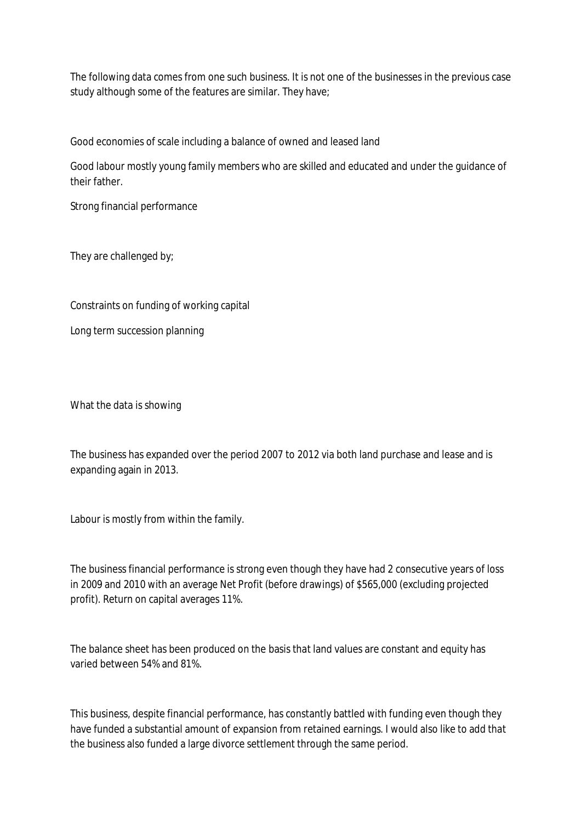The following data comes from one such business. It is not one of the businesses in the previous case study although some of the features are similar. They have;

Good economies of scale including a balance of owned and leased land

Good labour mostly young family members who are skilled and educated and under the guidance of their father.

Strong financial performance

They are challenged by;

Constraints on funding of working capital

Long term succession planning

What the data is showing

The business has expanded over the period 2007 to 2012 via both land purchase and lease and is expanding again in 2013.

Labour is mostly from within the family.

The business financial performance is strong even though they have had 2 consecutive years of loss in 2009 and 2010 with an average Net Profit (before drawings) of \$565,000 (excluding projected profit). Return on capital averages 11%.

The balance sheet has been produced on the basis that land values are constant and equity has varied between 54% and 81%.

This business, despite financial performance, has constantly battled with funding even though they have funded a substantial amount of expansion from retained earnings. I would also like to add that the business also funded a large divorce settlement through the same period.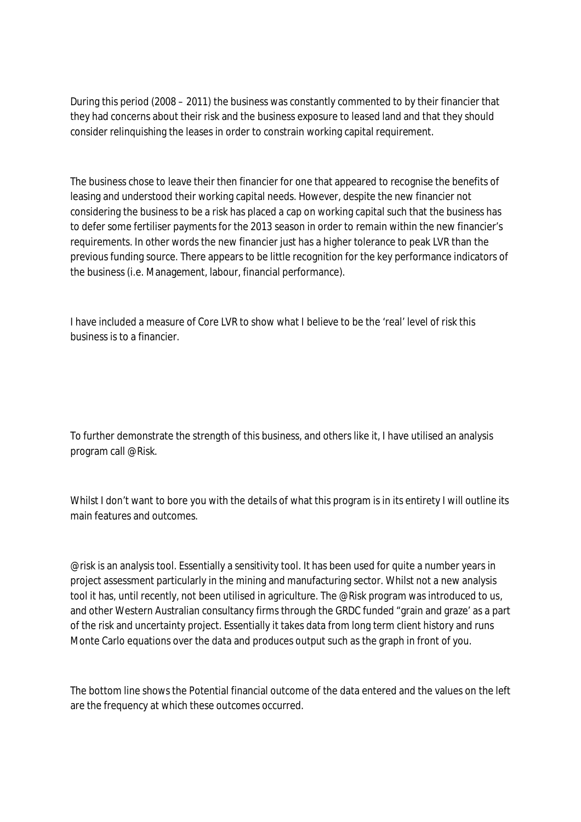During this period (2008 – 2011) the business was constantly commented to by their financier that they had concerns about their risk and the business exposure to leased land and that they should consider relinquishing the leases in order to constrain working capital requirement.

The business chose to leave their then financier for one that appeared to recognise the benefits of leasing and understood their working capital needs. However, despite the new financier not considering the business to be a risk has placed a cap on working capital such that the business has to defer some fertiliser payments for the 2013 season in order to remain within the new financier's requirements. In other words the new financier just has a higher tolerance to peak LVR than the previous funding source. There appears to be little recognition for the key performance indicators of the business (i.e. Management, labour, financial performance).

I have included a measure of Core LVR to show what I believe to be the 'real' level of risk this business is to a financier.

To further demonstrate the strength of this business, and others like it, I have utilised an analysis program call @Risk.

Whilst I don't want to bore you with the details of what this program is in its entirety I will outline its main features and outcomes.

@risk is an analysis tool. Essentially a sensitivity tool. It has been used for quite a number years in project assessment particularly in the mining and manufacturing sector. Whilst not a new analysis tool it has, until recently, not been utilised in agriculture. The @Risk program was introduced to us, and other Western Australian consultancy firms through the GRDC funded "grain and graze' as a part of the risk and uncertainty project. Essentially it takes data from long term client history and runs Monte Carlo equations over the data and produces output such as the graph in front of you.

The bottom line shows the Potential financial outcome of the data entered and the values on the left are the frequency at which these outcomes occurred.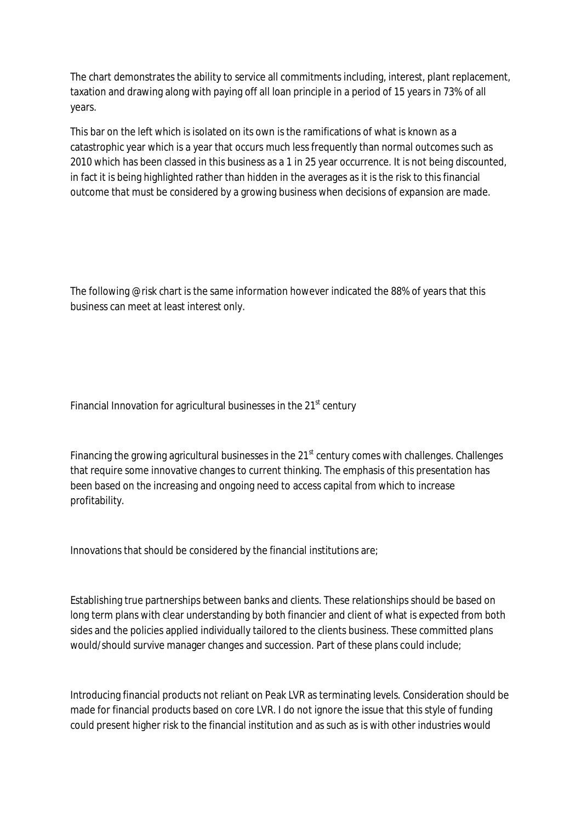The chart demonstrates the ability to service all commitments including, interest, plant replacement, taxation and drawing along with paying off all loan principle in a period of 15 years in 73% of all years.

This bar on the left which is isolated on its own is the ramifications of what is known as a catastrophic year which is a year that occurs much less frequently than normal outcomes such as 2010 which has been classed in this business as a 1 in 25 year occurrence. It is not being discounted, in fact it is being highlighted rather than hidden in the averages as it is the risk to this financial outcome that must be considered by a growing business when decisions of expansion are made.

The following @risk chart is the same information however indicated the 88% of years that this business can meet at least interest only.

Financial Innovation for agricultural businesses in the  $21<sup>st</sup>$  century

Financing the growing agricultural businesses in the  $21<sup>st</sup>$  century comes with challenges. Challenges that require some innovative changes to current thinking. The emphasis of this presentation has been based on the increasing and ongoing need to access capital from which to increase profitability.

Innovations that should be considered by the financial institutions are;

Establishing true partnerships between banks and clients. These relationships should be based on long term plans with clear understanding by both financier and client of what is expected from both sides and the policies applied individually tailored to the clients business. These committed plans would/should survive manager changes and succession. Part of these plans could include;

Introducing financial products not reliant on Peak LVR as terminating levels. Consideration should be made for financial products based on core LVR. I do not ignore the issue that this style of funding could present higher risk to the financial institution and as such as is with other industries would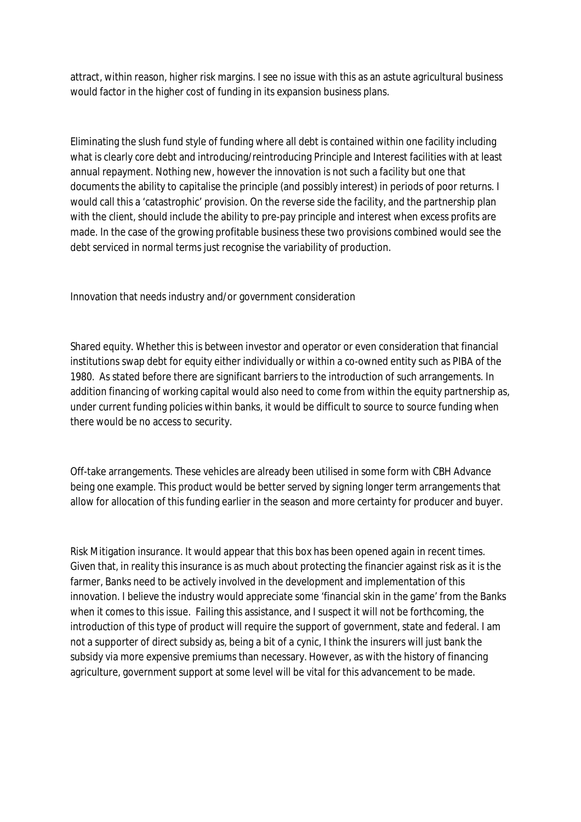attract, within reason, higher risk margins. I see no issue with this as an astute agricultural business would factor in the higher cost of funding in its expansion business plans.

Eliminating the slush fund style of funding where all debt is contained within one facility including what is clearly core debt and introducing/reintroducing Principle and Interest facilities with at least annual repayment. Nothing new, however the innovation is not such a facility but one that documents the ability to capitalise the principle (and possibly interest) in periods of poor returns. I would call this a 'catastrophic' provision. On the reverse side the facility, and the partnership plan with the client, should include the ability to pre-pay principle and interest when excess profits are made. In the case of the growing profitable business these two provisions combined would see the debt serviced in normal terms just recognise the variability of production.

Innovation that needs industry and/or government consideration

Shared equity. Whether this is between investor and operator or even consideration that financial institutions swap debt for equity either individually or within a co-owned entity such as PIBA of the 1980. As stated before there are significant barriers to the introduction of such arrangements. In addition financing of working capital would also need to come from within the equity partnership as, under current funding policies within banks, it would be difficult to source to source funding when there would be no access to security.

Off-take arrangements. These vehicles are already been utilised in some form with CBH Advance being one example. This product would be better served by signing longer term arrangements that allow for allocation of this funding earlier in the season and more certainty for producer and buyer.

Risk Mitigation insurance. It would appear that this box has been opened again in recent times. Given that, in reality this insurance is as much about protecting the financier against risk as it is the farmer, Banks need to be actively involved in the development and implementation of this innovation. I believe the industry would appreciate some 'financial skin in the game' from the Banks when it comes to this issue. Failing this assistance, and I suspect it will not be forthcoming, the introduction of this type of product will require the support of government, state and federal. I am not a supporter of direct subsidy as, being a bit of a cynic, I think the insurers will just bank the subsidy via more expensive premiums than necessary. However, as with the history of financing agriculture, government support at some level will be vital for this advancement to be made.